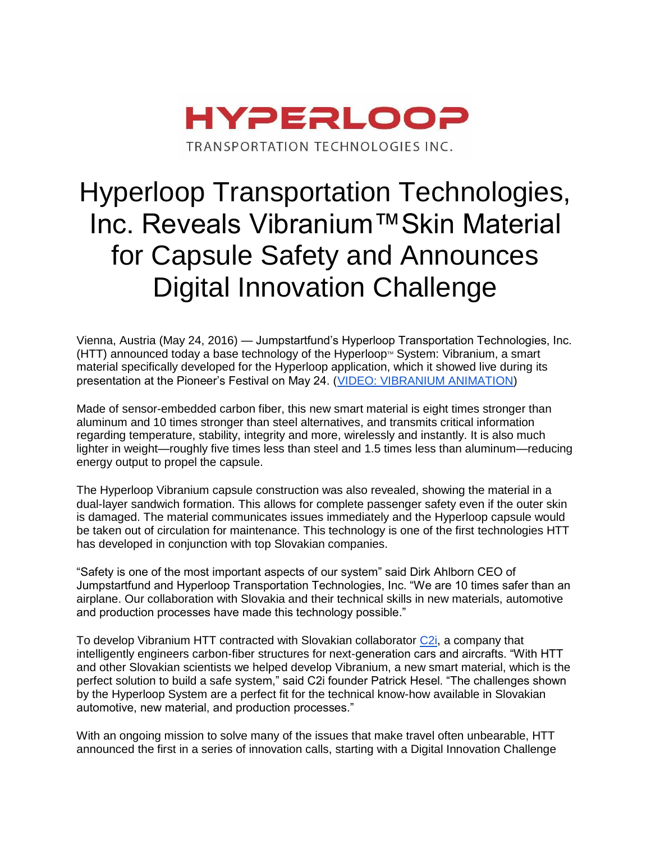

# Hyperloop Transportation Technologies, Inc. Reveals Vibranium™Skin Material for Capsule Safety and Announces Digital Innovation Challenge

Vienna, Austria (May 24, 2016) — Jumpstartfund's Hyperloop Transportation Technologies, Inc.  $(HTT)$  announced today a base technology of the Hyperloop<sup> $M$ </sup> System: Vibranium, a smart material specifically developed for the Hyperloop application, which it showed live during its presentation at the Pioneer's Festival on May 24. [\(VIDEO: VIBRANIUM ANIMATION\)](https://www.dropbox.com/s/sekhsdhygg7b0nj/hyperloop_vibranium.mov?dl=0)

Made of sensor-embedded carbon fiber, this new smart material is eight times stronger than aluminum and 10 times stronger than steel alternatives, and transmits critical information regarding temperature, stability, integrity and more, wirelessly and instantly. It is also much lighter in weight—roughly five times less than steel and 1.5 times less than aluminum—reducing energy output to propel the capsule.

The Hyperloop Vibranium capsule construction was also revealed, showing the material in a dual-layer sandwich formation. This allows for complete passenger safety even if the outer skin is damaged. The material communicates issues immediately and the Hyperloop capsule would be taken out of circulation for maintenance. This technology is one of the first technologies HTT has developed in conjunction with top Slovakian companies.

"Safety is one of the most important aspects of our system" said Dirk Ahlborn CEO of Jumpstartfund and Hyperloop Transportation Technologies, Inc. "We are 10 times safer than an airplane. Our collaboration with Slovakia and their technical skills in new materials, automotive and production processes have made this technology possible."

To develop Vibranium HTT contracted with Slovakian collaborator [C2i,](http://www.c2i.com/) a company that intelligently engineers carbon-fiber structures for next-generation cars and aircrafts. "With HTT and other Slovakian scientists we helped develop Vibranium, a new smart material, which is the perfect solution to build a safe system," said C2i founder Patrick Hesel. "The challenges shown by the Hyperloop System are a perfect fit for the technical know-how available in Slovakian automotive, new material, and production processes."

With an ongoing mission to solve many of the issues that make travel often unbearable, HTT announced the first in a series of innovation calls, starting with a Digital Innovation Challenge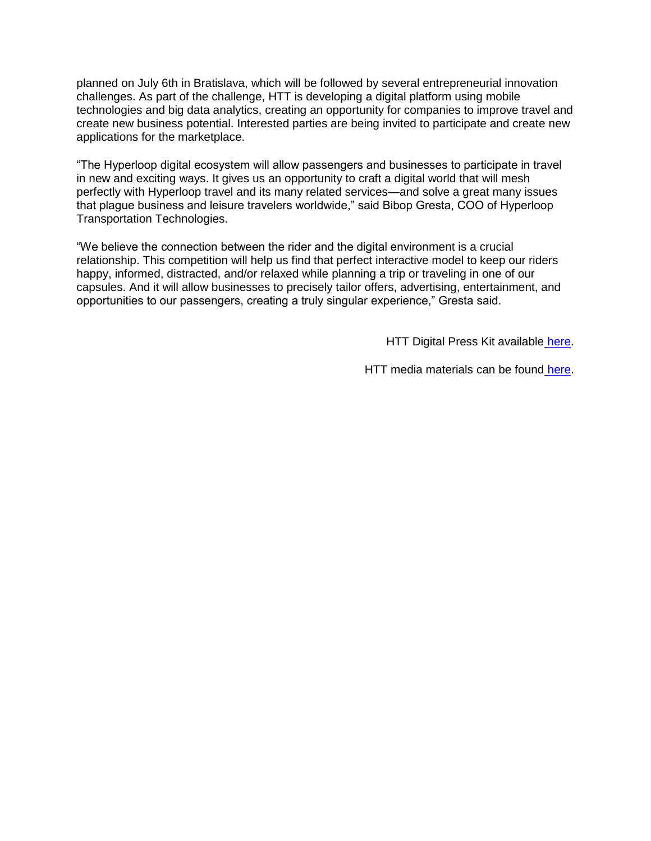planned on July 6th in Bratislava, which will be followed by several entrepreneurial innovation challenges. As part of the challenge, HTT is developing a digital platform using mobile technologies and big data analytics, creating an opportunity for companies to improve travel and create new business potential. Interested parties are being invited to participate and create new applications for the marketplace.

"The Hyperloop digital ecosystem will allow passengers and businesses to participate in travel in new and exciting ways. It gives us an opportunity to craft a digital world that will mesh perfectly with Hyperloop travel and its many related services—and solve a great many issues that plague business and leisure travelers worldwide," said Bibop Gresta, COO of Hyperloop Transportation Technologies.

"We believe the connection between the rider and the digital environment is a crucial relationship. This competition will help us find that perfect interactive model to keep our riders happy, informed, distracted, and/or relaxed while planning a trip or traveling in one of our capsules. And it will allow businesses to precisely tailor offers, advertising, entertainment, and opportunities to our passengers, creating a truly singular experience," Gresta said.

HTT Digital Press Kit available [here.](http://rla.to/7rbel)

HTT media materials can be found [here.](http://t.sidekickopen16.com/e1t/c/5/f18dQhb0S7lC8dDMPbW2n0x6l2B9nMJW7t5XZs3LrccjMd7g3HdVhRvW5w6vTF56dT-gf30805l02?t=https%3A%2F%2Fwww.dropbox.com%2Fsh%2Fp85hepf1y829aju%2FAABFrZs_-KhBRz-xc2I35LYga%3Fdl%3D0&si=5683604650196992&pi=8cbbb123-b808-4691-e7d1-c741cbbdf3f6)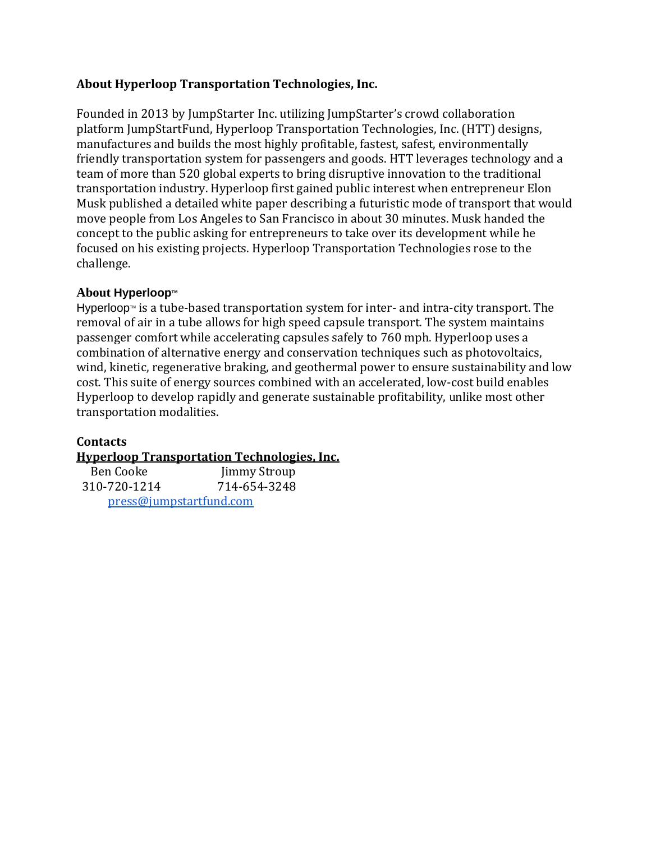#### **About Hyperloop Transportation Technologies, Inc.**

Founded in 2013 by JumpStarter Inc. utilizing JumpStarter's crowd collaboration platform JumpStartFund, Hyperloop Transportation Technologies, Inc. (HTT) designs, manufactures and builds the most highly profitable, fastest, safest, environmentally friendly transportation system for passengers and goods. HTT leverages technology and a team of more than 520 global experts to bring disruptive innovation to the traditional transportation industry. Hyperloop first gained public interest when entrepreneur Elon Musk published a detailed white paper describing a futuristic mode of transport that would move people from Los Angeles to San Francisco in about 30 minutes. Musk handed the concept to the public asking for entrepreneurs to take over its development while he focused on his existing projects. Hyperloop Transportation Technologies rose to the challenge.

#### **About Hyperloop**<sup>™</sup>

Hyperloop<sup> $M$ </sup> is a tube-based transportation system for inter- and intra-city transport. The removal of air in a tube allows for high speed capsule transport. The system maintains passenger comfort while accelerating capsules safely to 760 mph. Hyperloop uses a combination of alternative energy and conservation techniques such as photovoltaics, wind, kinetic, regenerative braking, and geothermal power to ensure sustainability and low cost. This suite of energy sources combined with an accelerated, low-cost build enables Hyperloop to develop rapidly and generate sustainable profitability, unlike most other transportation modalities.

### **Contacts**

#### **[Hyperloop Transportation Technologies, Inc.](http://hyperlooptransp.com/)**

 Ben Cooke Jimmy Stroup 310-720-1214 714-654-3248 [press@jumpstartfund.com](mailto:press@jumpstartfund.com)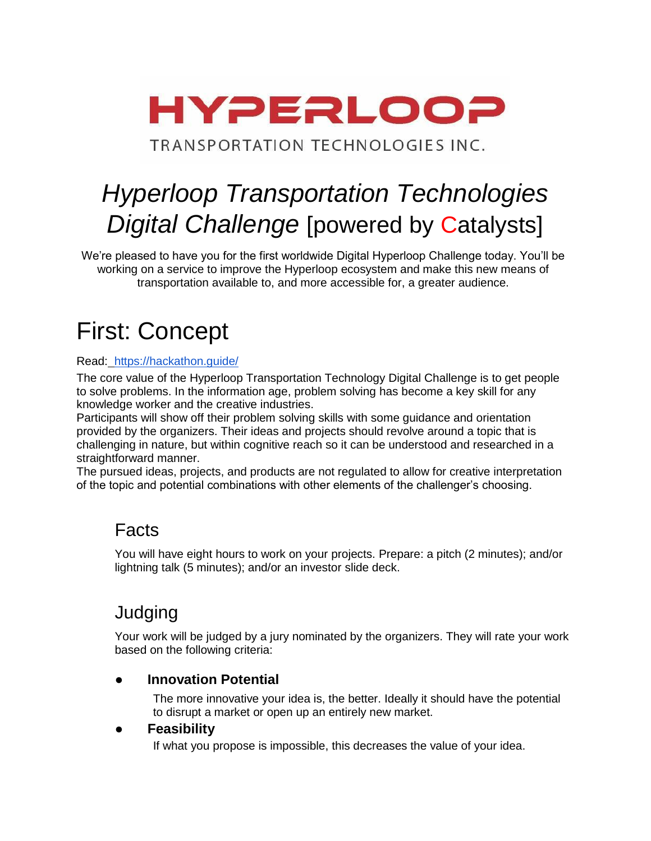

TRANSPORTATION TECHNOLOGIES INC.

# *Hyperloop Transportation Technologies Digital Challenge* [powered by Catalysts]

We're pleased to have you for the first worldwide Digital Hyperloop Challenge today. You'll be working on a service to improve the Hyperloop ecosystem and make this new means of transportation available to, and more accessible for, a greater audience.

## First: Concept

#### Read: <https://hackathon.guide/>

The core value of the Hyperloop Transportation Technology Digital Challenge is to get people to solve problems. In the information age, problem solving has become a key skill for any knowledge worker and the creative industries.

Participants will show off their problem solving skills with some guidance and orientation provided by the organizers. Their ideas and projects should revolve around a topic that is challenging in nature, but within cognitive reach so it can be understood and researched in a straightforward manner.

The pursued ideas, projects, and products are not regulated to allow for creative interpretation of the topic and potential combinations with other elements of the challenger's choosing.

## Facts

You will have eight hours to work on your projects. Prepare: a pitch (2 minutes); and/or lightning talk (5 minutes); and/or an investor slide deck.

## **Judging**

Your work will be judged by a jury nominated by the organizers. They will rate your work based on the following criteria:

### **● Innovation Potential**

The more innovative your idea is, the better. Ideally it should have the potential to disrupt a market or open up an entirely new market.

### ● **Feasibility**

If what you propose is impossible, this decreases the value of your idea.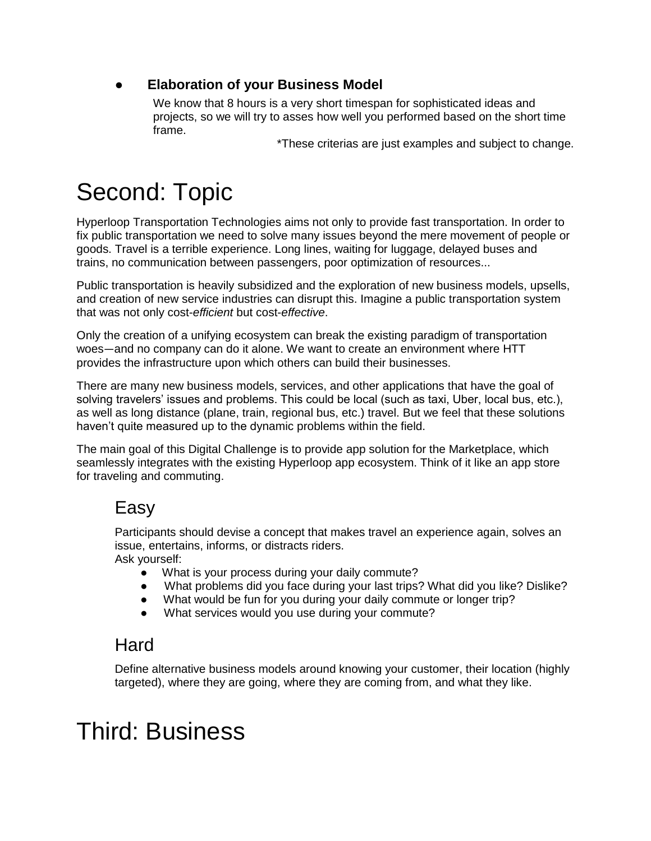## **● Elaboration of your Business Model**

We know that 8 hours is a very short timespan for sophisticated ideas and projects, so we will try to asses how well you performed based on the short time frame.

\*These criterias are just examples and subject to change.

# Second: Topic

Hyperloop Transportation Technologies aims not only to provide fast transportation. In order to fix public transportation we need to solve many issues beyond the mere movement of people or goods. Travel is a terrible experience. Long lines, waiting for luggage, delayed buses and trains, no communication between passengers, poor optimization of resources...

Public transportation is heavily subsidized and the exploration of new business models, upsells, and creation of new service industries can disrupt this. Imagine a public transportation system that was not only cost-*efficient* but cost-*effective*.

Only the creation of a unifying ecosystem can break the existing paradigm of transportation woes—and no company can do it alone. We want to create an environment where HTT provides the infrastructure upon which others can build their businesses.

There are many new business models, services, and other applications that have the goal of solving travelers' issues and problems. This could be local (such as taxi, Uber, local bus, etc.), as well as long distance (plane, train, regional bus, etc.) travel. But we feel that these solutions haven't quite measured up to the dynamic problems within the field.

The main goal of this Digital Challenge is to provide app solution for the Marketplace, which seamlessly integrates with the existing Hyperloop app ecosystem. Think of it like an app store for traveling and commuting.

## Easy

Participants should devise a concept that makes travel an experience again, solves an issue, entertains, informs, or distracts riders. Ask yourself:

- What is your process during your daily commute?
- What problems did you face during your last trips? What did you like? Dislike?
- What would be fun for you during your daily commute or longer trip?
- What services would you use during your commute?

## **Hard**

Define alternative business models around knowing your customer, their location (highly targeted), where they are going, where they are coming from, and what they like.

## Third: Business